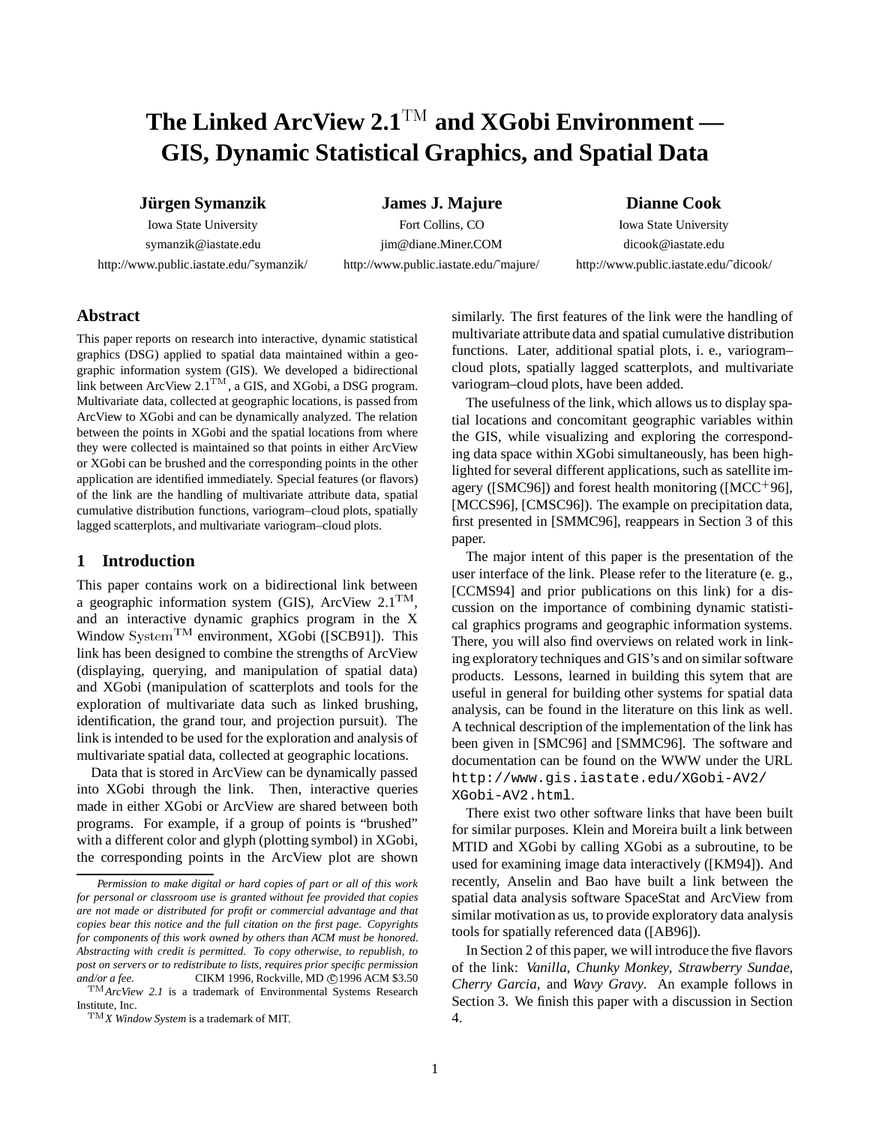# **The Linked ArcView 2.1**TM **and XGobi Environment — GIS, Dynamic Statistical Graphics, and Spatial Data**

**Jürgen Symanzik** 

Iowa State University symanzik@iastate.edu http://www.public.iastate.edu/˜symanzik/ **James J. Majure**

Fort Collins, CO jim@diane.Miner.COM http://www.public.iastate.edu/˜majure/

# **Dianne Cook**

Iowa State University dicook@iastate.edu http://www.public.iastate.edu/˜dicook/

# **Abstract**

This paper reports on research into interactive, dynamic statistical graphics (DSG) applied to spatial data maintained within a geographic information system (GIS). We developed a bidirectional link between ArcView  $2.1^{TM}$ , a GIS, and XGobi, a DSG program. Multivariate data, collected at geographic locations, is passed from ArcView to XGobi and can be dynamically analyzed. The relation between the points in XGobi and the spatial locations from where they were collected is maintained so that points in either ArcView or XGobi can be brushed and the corresponding points in the other application are identified immediately. Special features (or flavors) of the link are the handling of multivariate attribute data, spatial cumulative distribution functions, variogram–cloud plots, spatially lagged scatterplots, and multivariate variogram–cloud plots.

## **1 Introduction**

This paper contains work on a bidirectional link between a geographic information system (GIS), ArcView  $2.1<sup>TM</sup>$ , and an interactive dynamic graphics program in the X Window System<sup>TM</sup> environment, XGobi ([SCB91]). This link has been designed to combine the strengths of ArcView (displaying, querying, and manipulation of spatial data) and XGobi (manipulation of scatterplots and tools for the exploration of multivariate data such as linked brushing, identification, the grand tour, and projection pursuit). The link is intended to be used for the exploration and analysis of multivariate spatial data, collected at geographic locations.

Data that is stored in ArcView can be dynamically passed into XGobi through the link. Then, interactive queries made in either XGobi or ArcView are shared between both programs. For example, if a group of points is "brushed" with a different color and glyph (plotting symbol) in XGobi, the corresponding points in the ArcView plot are shown

similarly. The first features of the link were the handling of multivariate attribute data and spatial cumulative distribution functions. Later, additional spatial plots, i. e., variogram– cloud plots, spatially lagged scatterplots, and multivariate variogram–cloud plots, have been added.

The usefulness of the link, which allows us to display spatial locations and concomitant geographic variables within the GIS, while visualizing and exploring the corresponding data space within XGobi simultaneously, has been highlighted for several different applications, such as satellite imagery ([SMC96]) and forest health monitoring ([MCC<sup>+</sup> 96], [MCCS96], [CMSC96]). The example on precipitation data, first presented in [SMMC96], reappears in Section 3 of this paper.

The major intent of this paper is the presentation of the user interface of the link. Please refer to the literature (e. g., [CCMS94] and prior publications on this link) for a discussion on the importance of combining dynamic statistical graphics programs and geographic information systems. There, you will also find overviews on related work in linking exploratory techniques and GIS's and on similar software products. Lessons, learned in building this sytem that are useful in general for building other systems for spatial data analysis, can be found in the literature on this link as well. A technical description of the implementation of the link has been given in [SMC96] and [SMMC96]. The software and documentation can be found on the WWW under the URL http://www.gis.iastate.edu/XGobi-AV2/ XGobi-AV2.html.

There exist two other software links that have been built for similar purposes. Klein and Moreira built a link between MTID and XGobi by calling XGobi as a subroutine, to be used for examining image data interactively ([KM94]). And recently, Anselin and Bao have built a link between the spatial data analysis software SpaceStat and ArcView from similar motivation as us, to provide exploratory data analysis tools for spatially referenced data ([AB96]).

In Section 2 of this paper, we will introduce the five flavors of the link: *Vanilla*, *Chunky Monkey*, *Strawberry Sundae*, *Cherry Garcia*, and *Wavy Gravy*. An example follows in Section 3. We finish this paper with a discussion in Section 4.

*Permission to make digital or hard copies of part or all of this work for personal or classroom use is granted without fee provided that copies are not made or distributed for profit or commercial advantage and that copies bear this notice and the full citation on the first page. Copyrights for components of this work owned by others than ACM must be honored. Abstracting with credit is permitted. To copy otherwise, to republish, to post on servers or to redistribute to lists, requires prior specific permission* and/or a fee. CIKM 1996, Rockville, MD  $@$  1996 ACM \$3.50 TM*ArcView 2.1* is a trademark of Environmental Systems Research Institute, Inc.

TM*X Window System* is a trademark of MIT.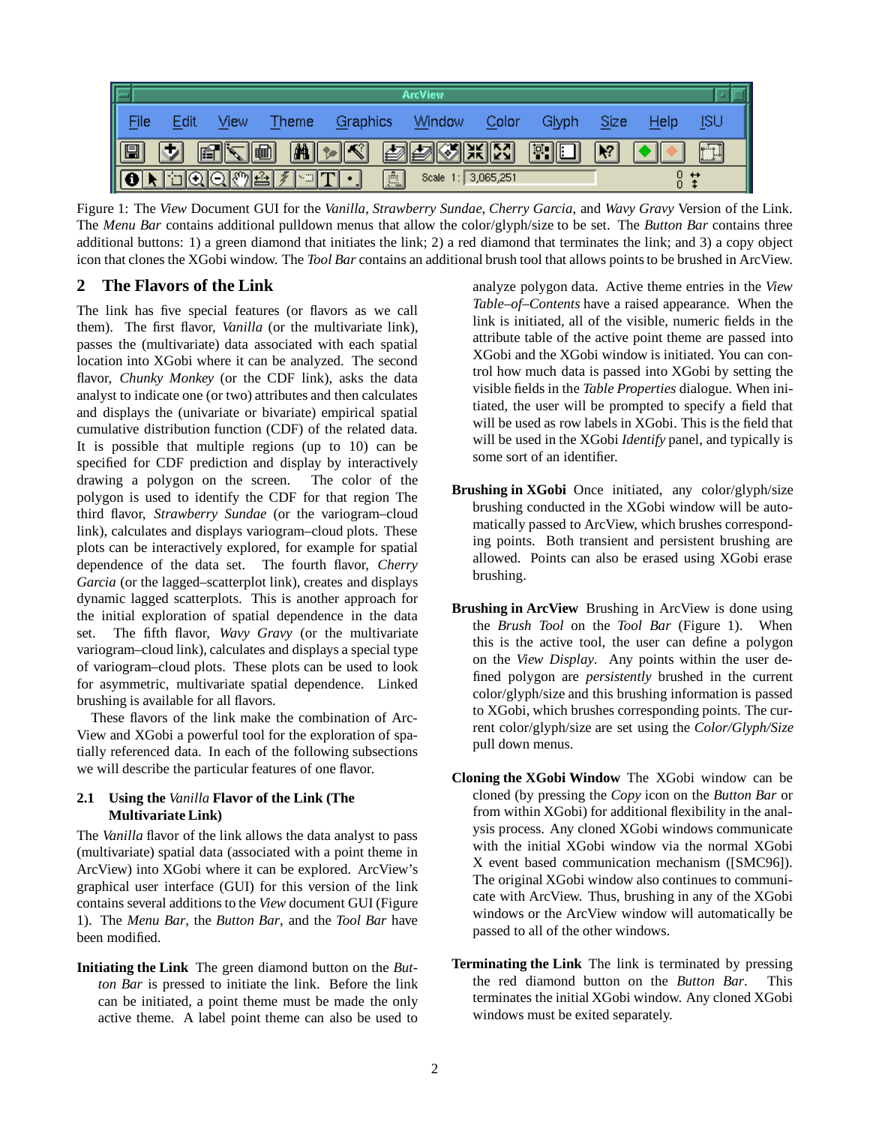

Figure 1: The *View* Document GUI for the *Vanilla*, *Strawberry Sundae*, *Cherry Garcia*, and *Wavy Gravy* Version of the Link. The *Menu Bar* contains additional pulldown menus that allow the color/glyph/size to be set. The *Button Bar* contains three additional buttons: 1) a green diamond that initiates the link; 2) a red diamond that terminates the link; and 3) a copy object icon that clones the XGobi window. The *Tool Bar* contains an additional brush tool that allows points to be brushed in ArcView.

# **2 The Flavors of the Link**

The link has five special features (or flavors as we call them). The first flavor, *Vanilla* (or the multivariate link), passes the (multivariate) data associated with each spatial location into XGobi where it can be analyzed. The second flavor, *Chunky Monkey* (or the CDF link), asks the data analyst to indicate one (or two) attributes and then calculates and displays the (univariate or bivariate) empirical spatial cumulative distribution function (CDF) of the related data. It is possible that multiple regions (up to 10) can be specified for CDF prediction and display by interactively drawing a polygon on the screen. The color of the polygon is used to identify the CDF for that region The third flavor, *Strawberry Sundae* (or the variogram–cloud link), calculates and displays variogram–cloud plots. These plots can be interactively explored, for example for spatial dependence of the data set. The fourth flavor, *Cherry Garcia* (or the lagged–scatterplot link), creates and displays dynamic lagged scatterplots. This is another approach for the initial exploration of spatial dependence in the data set. The fifth flavor, *Wavy Gravy* (or the multivariate variogram–cloud link), calculates and displays a special type of variogram–cloud plots. These plots can be used to look for asymmetric, multivariate spatial dependence. Linked brushing is available for all flavors.

These flavors of the link make the combination of Arc-View and XGobi a powerful tool for the exploration of spatially referenced data. In each of the following subsections we will describe the particular features of one flavor.

## **2.1 Using the** *Vanilla* **Flavor of the Link (The Multivariate Link)**

The *Vanilla* flavor of the link allows the data analyst to pass (multivariate) spatial data (associated with a point theme in ArcView) into XGobi where it can be explored. ArcView's graphical user interface (GUI) for this version of the link contains several additions to the *View* document GUI (Figure 1). The *Menu Bar*, the *Button Bar*, and the *Tool Bar* have been modified.

**Initiating the Link** The green diamond button on the *Button Bar* is pressed to initiate the link. Before the link can be initiated, a point theme must be made the only active theme. A label point theme can also be used to analyze polygon data. Active theme entries in the *View Table–of–Contents* have a raised appearance. When the link is initiated, all of the visible, numeric fields in the attribute table of the active point theme are passed into XGobi and the XGobi window is initiated. You can control how much data is passed into XGobi by setting the visible fields in the *Table Properties* dialogue. When initiated, the user will be prompted to specify a field that will be used as row labels in XGobi. This is the field that will be used in the XGobi *Identify* panel, and typically is some sort of an identifier.

- **Brushing in XGobi** Once initiated, any color/glyph/size brushing conducted in the XGobi window will be automatically passed to ArcView, which brushes corresponding points. Both transient and persistent brushing are allowed. Points can also be erased using XGobi erase brushing.
- **Brushing in ArcView** Brushing in ArcView is done using the *Brush Tool* on the *Tool Bar* (Figure 1). When this is the active tool, the user can define a polygon on the *View Display*. Any points within the user defined polygon are *persistently* brushed in the current color/glyph/size and this brushing information is passed to XGobi, which brushes corresponding points. The current color/glyph/size are set using the *Color/Glyph/Size* pull down menus.
- **Cloning the XGobi Window** The XGobi window can be cloned (by pressing the *Copy* icon on the *Button Bar* or from within XGobi) for additional flexibility in the analysis process. Any cloned XGobi windows communicate with the initial XGobi window via the normal XGobi X event based communication mechanism ([SMC96]). The original XGobi window also continues to communicate with ArcView. Thus, brushing in any of the XGobi windows or the ArcView window will automatically be passed to all of the other windows.
- **Terminating the Link** The link is terminated by pressing the red diamond button on the *Button Bar*. This terminates the initial XGobi window. Any cloned XGobi windows must be exited separately.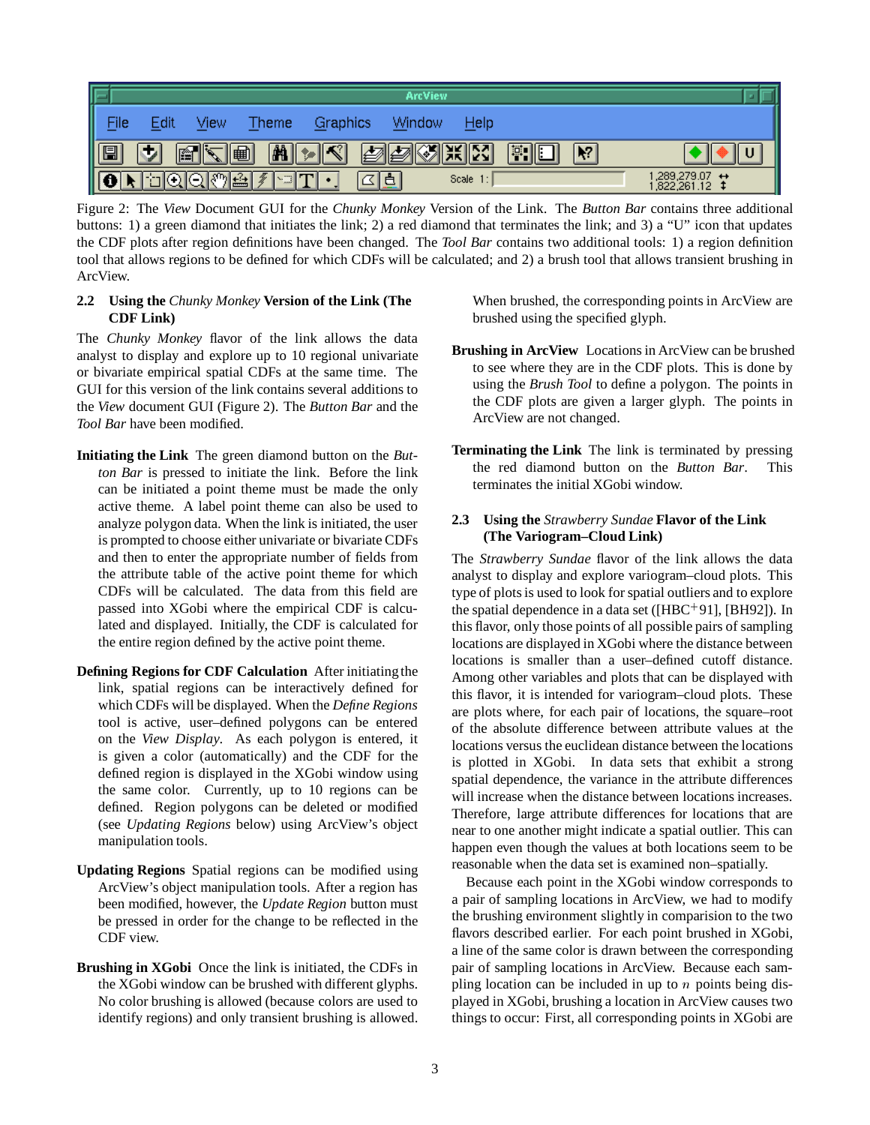

Figure 2: The *View* Document GUI for the *Chunky Monkey* Version of the Link. The *Button Bar* contains three additional buttons: 1) a green diamond that initiates the link; 2) a red diamond that terminates the link; and 3) a "U" icon that updates the CDF plots after region definitions have been changed. The *Tool Bar* contains two additional tools: 1) a region definition tool that allows regions to be defined for which CDFs will be calculated; and 2) a brush tool that allows transient brushing in ArcView.

### **2.2 Using the** *Chunky Monkey* **Version of the Link (The CDF Link)**

The *Chunky Monkey* flavor of the link allows the data analyst to display and explore up to 10 regional univariate or bivariate empirical spatial CDFs at the same time. The GUI for this version of the link contains several additions to the *View* document GUI (Figure 2). The *Button Bar* and the *Tool Bar* have been modified.

- **Initiating the Link** The green diamond button on the *Button Bar* is pressed to initiate the link. Before the link can be initiated a point theme must be made the only active theme. A label point theme can also be used to analyze polygon data. When the link is initiated, the user is prompted to choose either univariate or bivariate CDFs and then to enter the appropriate number of fields from the attribute table of the active point theme for which CDFs will be calculated. The data from this field are passed into XGobi where the empirical CDF is calculated and displayed. Initially, the CDF is calculated for the entire region defined by the active point theme.
- **Defining Regions for CDF Calculation** After initiating the link, spatial regions can be interactively defined for which CDFs will be displayed. When the *Define Regions* tool is active, user–defined polygons can be entered on the *View Display*. As each polygon is entered, it is given a color (automatically) and the CDF for the defined region is displayed in the XGobi window using the same color. Currently, up to 10 regions can be defined. Region polygons can be deleted or modified (see *Updating Regions* below) using ArcView's object manipulation tools.
- **Updating Regions** Spatial regions can be modified using ArcView's object manipulation tools. After a region has been modified, however, the *Update Region* button must be pressed in order for the change to be reflected in the CDF view.
- **Brushing in XGobi** Once the link is initiated, the CDFs in the XGobi window can be brushed with different glyphs. No color brushing is allowed (because colors are used to identify regions) and only transient brushing is allowed.

When brushed, the corresponding points in ArcView are brushed using the specified glyph.

- **Brushing in ArcView** Locations in ArcView can be brushed to see where they are in the CDF plots. This is done by using the *Brush Tool* to define a polygon. The points in the CDF plots are given a larger glyph. The points in ArcView are not changed.
- **Terminating the Link** The link is terminated by pressing the red diamond button on the *Button Bar*. This terminates the initial XGobi window.

## **2.3 Using the** *Strawberry Sundae* **Flavor of the Link (The Variogram–Cloud Link)**

The *Strawberry Sundae* flavor of the link allows the data analyst to display and explore variogram–cloud plots. This type of plots is used to look for spatial outliers and to explore the spatial dependence in a data set ([HBC<sup>+</sup> 91], [BH92]). In this flavor, only those points of all possible pairs of sampling locations are displayed in XGobi where the distance between locations is smaller than a user–defined cutoff distance. Among other variables and plots that can be displayed with this flavor, it is intended for variogram–cloud plots. These are plots where, for each pair of locations, the square–root of the absolute difference between attribute values at the locations versus the euclidean distance between the locations is plotted in XGobi. In data sets that exhibit a strong spatial dependence, the variance in the attribute differences will increase when the distance between locations increases. Therefore, large attribute differences for locations that are near to one another might indicate a spatial outlier. This can happen even though the values at both locations seem to be reasonable when the data set is examined non–spatially.

Because each point in the XGobi window corresponds to a pair of sampling locations in ArcView, we had to modify the brushing environment slightly in comparision to the two flavors described earlier. For each point brushed in XGobi, a line of the same color is drawn between the corresponding pair of sampling locations in ArcView. Because each sampling location can be included in up to  $n$  points being displayed in XGobi, brushing a location in ArcView causes two things to occur: First, all corresponding points in XGobi are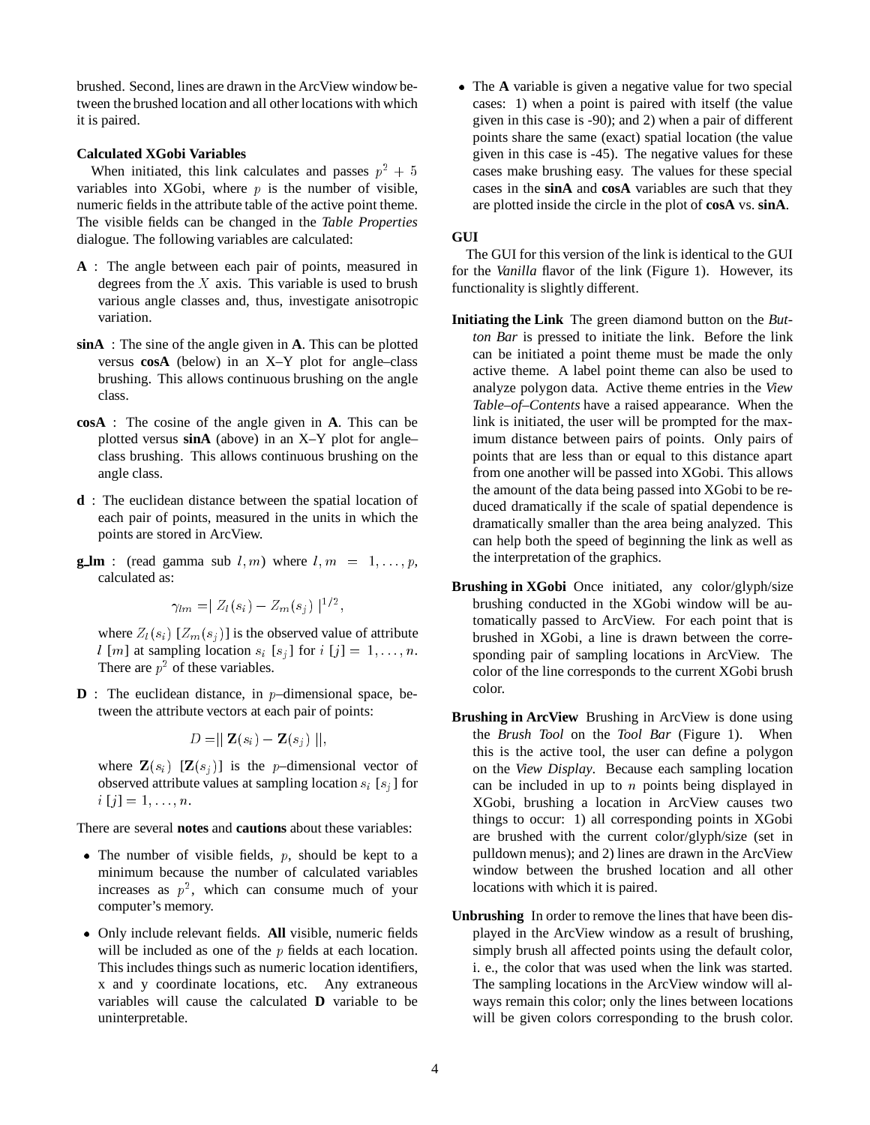brushed. Second, lines are drawn in the ArcView window between the brushed location and all other locations with which it is paired.

#### **Calculated XGobi Variables**

When initiated, this link calculates and passes  $p^2 + 5$ variables into XGobi, where  $p$  is the number of visible, numeric fields in the attribute table of the active point theme. The visible fields can be changed in the *Table Properties* dialogue. The following variables are calculated:

- **A** : The angle between each pair of points, measured in degrees from the  $X$  axis. This variable is used to brush various angle classes and, thus, investigate anisotropic variation.
- **sinA** : The sine of the angle given in **A**. This can be plotted versus **cosA** (below) in an X–Y plot for angle–class brushing. This allows continuous brushing on the angle class.
- **cosA** : The cosine of the angle given in **A**. This can be plotted versus **sinA** (above) in an X–Y plot for angle– class brushing. This allows continuous brushing on the angle class.
- **d** : The euclidean distance between the spatial location of each pair of points, measured in the units in which the points are stored in ArcView.
- **g\_lm** : (read gamma sub  $l, m$ ) where  $l, m = 1, \ldots, p$ , calculated as:

$$
\gamma_{lm} = | Z_l(s_i) - Z_m(s_j) |^{1/2},
$$

where  $Z_l(s_i)$  [ $Z_m(s_j)$ ] is the observed value of attribute l [m] at sampling location  $s_i$  [ $s_j$ ] for  $i$  [ $j$ ] = 1, ..., n. There are  $p^2$  of these variables.

**D** : The euclidean distance, in  $p$ -dimensional space, between the attribute vectors at each pair of points:

$$
D = || \mathbf{Z}(s_i) - \mathbf{Z}(s_j) ||,
$$

where  $\mathbf{Z}(s_i)$  [ $\mathbf{Z}(s_j)$ ] is the *p*-dimensional vector of observed attribute values at sampling location  $s_i$  [ $s_j$ ] for  $i [j] = 1, \ldots, n.$ 

There are several **notes** and **cautions** about these variables:

- The number of visible fields,  $p$ , should be kept to a minimum because the number of calculated variables increases as  $p^2$ , which can consume much of your computer's memory.
- Only include relevant fields. **All** visible, numeric fields will be included as one of the  $p$  fields at each location. This includes things such as numeric location identifiers, x and y coordinate locations, etc. Any extraneous variables will cause the calculated **D** variable to be uninterpretable.

 The**A** variable is given a negative value for two special cases: 1) when a point is paired with itself (the value given in this case is -90); and 2) when a pair of different points share the same (exact) spatial location (the value given in this case is -45). The negative values for these cases make brushing easy. The values for these special cases in the **sinA** and **cosA** variables are such that they are plotted inside the circle in the plot of **cosA** vs. **sinA**.

#### **GUI**

The GUI for this version of the link is identical to the GUI for the *Vanilla* flavor of the link (Figure 1). However, its functionality is slightly different.

- **Initiating the Link** The green diamond button on the *Button Bar* is pressed to initiate the link. Before the link can be initiated a point theme must be made the only active theme. A label point theme can also be used to analyze polygon data. Active theme entries in the *View Table–of–Contents* have a raised appearance. When the link is initiated, the user will be prompted for the maximum distance between pairs of points. Only pairs of points that are less than or equal to this distance apart from one another will be passed into XGobi. This allows the amount of the data being passed into XGobi to be reduced dramatically if the scale of spatial dependence is dramatically smaller than the area being analyzed. This can help both the speed of beginning the link as well as the interpretation of the graphics.
- **Brushing in XGobi** Once initiated, any color/glyph/size brushing conducted in the XGobi window will be automatically passed to ArcView. For each point that is brushed in XGobi, a line is drawn between the corresponding pair of sampling locations in ArcView. The color of the line corresponds to the current XGobi brush color.
- **Brushing in ArcView** Brushing in ArcView is done using the *Brush Tool* on the *Tool Bar* (Figure 1). When this is the active tool, the user can define a polygon on the *View Display*. Because each sampling location can be included in up to  $n$  points being displayed in XGobi, brushing a location in ArcView causes two things to occur: 1) all corresponding points in XGobi are brushed with the current color/glyph/size (set in pulldown menus); and 2) lines are drawn in the ArcView window between the brushed location and all other locations with which it is paired.
- **Unbrushing** In order to remove the lines that have been displayed in the ArcView window as a result of brushing, simply brush all affected points using the default color, i. e., the color that was used when the link was started. The sampling locations in the ArcView window will always remain this color; only the lines between locations will be given colors corresponding to the brush color.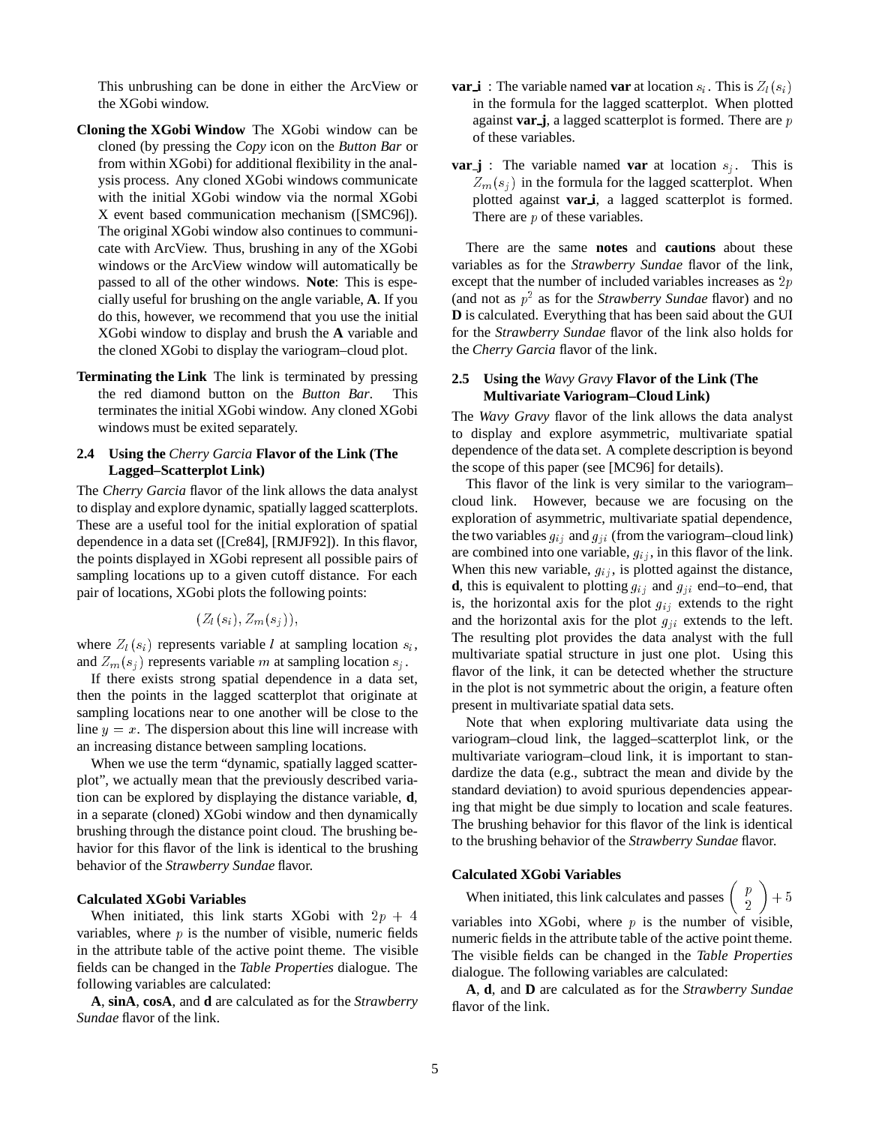This unbrushing can be done in either the ArcView or the XGobi window.

- **Cloning the XGobi Window** The XGobi window can be cloned (by pressing the *Copy* icon on the *Button Bar* or from within XGobi) for additional flexibility in the analysis process. Any cloned XGobi windows communicate with the initial XGobi window via the normal XGobi X event based communication mechanism ([SMC96]). The original XGobi window also continues to communicate with ArcView. Thus, brushing in any of the XGobi windows or the ArcView window will automatically be passed to all of the other windows. **Note**: This is especially useful for brushing on the angle variable, **A**. If you do this, however, we recommend that you use the initial XGobi window to display and brush the **A** variable and the cloned XGobi to display the variogram–cloud plot.
- **Terminating the Link** The link is terminated by pressing the red diamond button on the *Button Bar*. This terminates the initial XGobi window. Any cloned XGobi windows must be exited separately.

#### **2.4 Using the** *Cherry Garcia* **Flavor of the Link (The Lagged–Scatterplot Link)**

The *Cherry Garcia* flavor of the link allows the data analyst to display and explore dynamic, spatially lagged scatterplots. These are a useful tool for the initial exploration of spatial dependence in a data set ([Cre84], [RMJF92]). In this flavor, the points displayed in XGobi represent all possible pairs of sampling locations up to a given cutoff distance. For each pair of locations, XGobi plots the following points:

$$
(Z_l(s_i), Z_m(s_j)),
$$

where  $Z_i(s_i)$  represents variable l at sampling location  $s_i$ , and  $Z_m(s_i)$  represents variable m at sampling location  $s_i$ .

If there exists strong spatial dependence in a data set, then the points in the lagged scatterplot that originate at sampling locations near to one another will be close to the line  $y = x$ . The dispersion about this line will increase with an increasing distance between sampling locations.

When we use the term "dynamic, spatially lagged scatterplot", we actually mean that the previously described variation can be explored by displaying the distance variable, **d**, in a separate (cloned) XGobi window and then dynamically brushing through the distance point cloud. The brushing behavior for this flavor of the link is identical to the brushing behavior of the *Strawberry Sundae* flavor.

#### **Calculated XGobi Variables**

When initiated, this link starts XGobi with  $2p + 4$ variables, where  $p$  is the number of visible, numeric fields in the attribute table of the active point theme. The visible fields can be changed in the *Table Properties* dialogue. The following variables are calculated:

**A**, **sinA**, **cosA**, and **d** are calculated as for the *Strawberry Sundae* flavor of the link.

- **var i** : The variable named **var** at location  $s_i$ . This is  $Z_i(s_i)$ in the formula for the lagged scatterplot. When plotted against **var j**, a lagged scatterplot is formed. There are <sup>p</sup> of these variables.
- **var j** : The variable named **var** at location  $s_i$ . This is  $Z_m(s_i)$  in the formula for the lagged scatterplot. When plotted against **var i**, a lagged scatterplot is formed. There are  $p$  of these variables.

There are the same **notes** and **cautions** about these variables as for the *Strawberry Sundae* flavor of the link, except that the number of included variables increases as  $2p$ (and not as  $p^2$  as for the *Strawberry Sundae* flavor) and no **D** is calculated. Everything that has been said about the GUI for the *Strawberry Sundae* flavor of the link also holds for the *Cherry Garcia* flavor of the link.

#### **2.5 Using the** *Wavy Gravy* **Flavor of the Link (The Multivariate Variogram–Cloud Link)**

The *Wavy Gravy* flavor of the link allows the data analyst to display and explore asymmetric, multivariate spatial dependence of the data set. A complete description is beyond the scope of this paper (see [MC96] for details).

This flavor of the link is very similar to the variogram– cloud link. However, because we are focusing on the exploration of asymmetric, multivariate spatial dependence, the two variables  $g_{ij}$  and  $g_{ji}$  (from the variogram–cloud link) are combined into one variable,  $g_{ij}$ , in this flavor of the link. When this new variable,  $g_{ij}$ , is plotted against the distance, **d**, this is equivalent to plotting  $g_{ij}$  and  $g_{ji}$  end–to–end, that is, the horizontal axis for the plot  $g_{ij}$  extends to the right and the horizontal axis for the plot  $g_{ii}$  extends to the left. The resulting plot provides the data analyst with the full multivariate spatial structure in just one plot. Using this flavor of the link, it can be detected whether the structure in the plot is not symmetric about the origin, a feature often present in multivariate spatial data sets.

Note that when exploring multivariate data using the variogram–cloud link, the lagged–scatterplot link, or the multivariate variogram–cloud link, it is important to standardize the data (e.g., subtract the mean and divide by the standard deviation) to avoid spurious dependencies appearing that might be due simply to location and scale features. The brushing behavior for this flavor of the link is identical to the brushing behavior of the *Strawberry Sundae* flavor.

#### **Calculated XGobi Variables**

When initiated, this link calculates and passes  $\begin{pmatrix} p \\ q \end{pmatrix}$ .  $\binom{p}{2} + 5$ 

variables into XGobi, where  $p$  is the number of visible, numeric fields in the attribute table of the active point theme. The visible fields can be changed in the *Table Properties* dialogue. The following variables are calculated:

**A**, **d**, and **D** are calculated as for the *Strawberry Sundae* flavor of the link.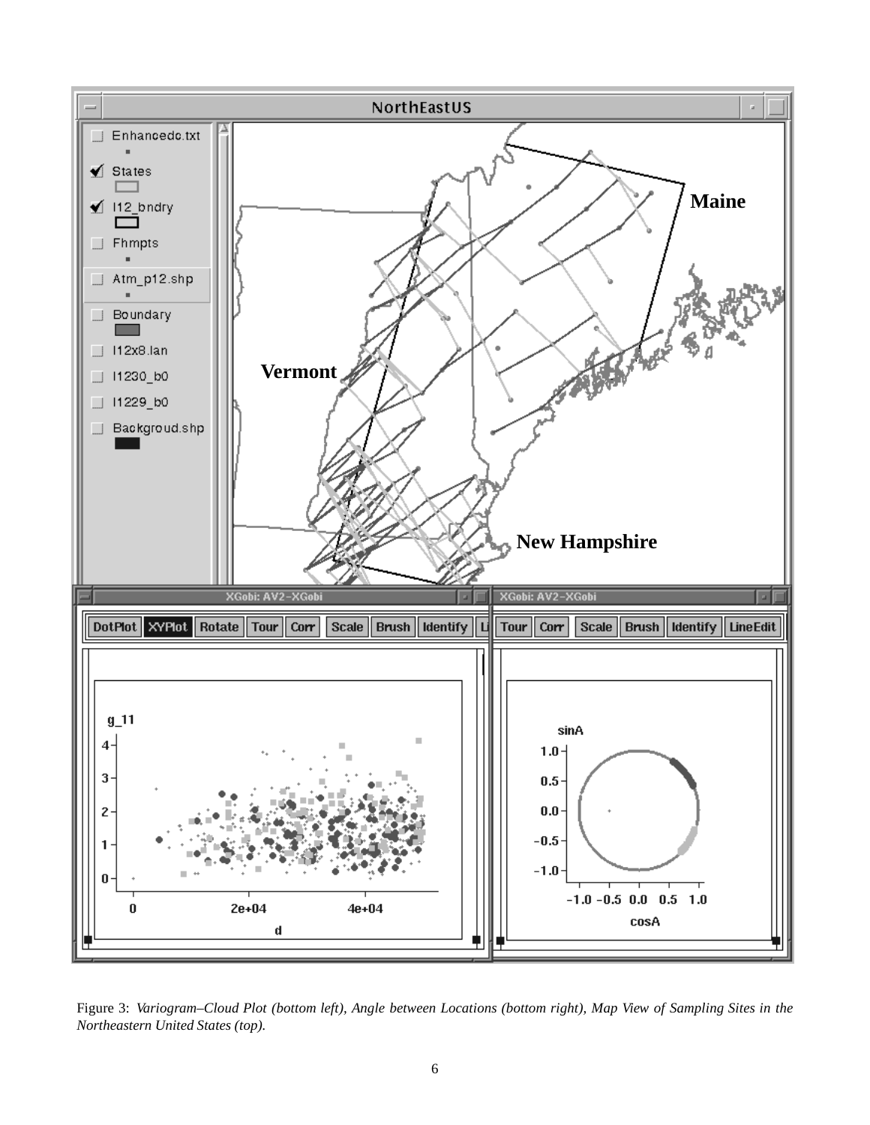

Figure 3: *Variogram–Cloud Plot (bottom left), Angle between Locations (bottom right), Map View of Sampling Sites in the Northeastern United States (top).*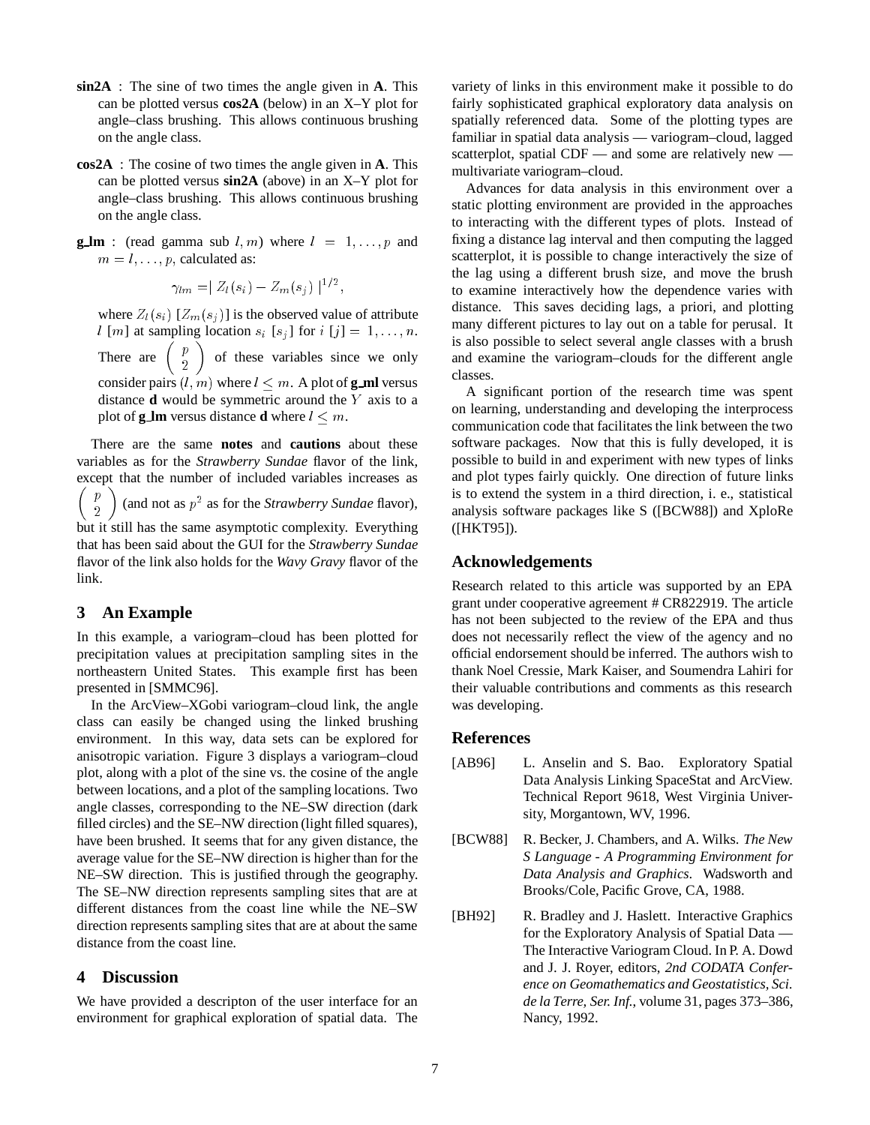- **sin2A** : The sine of two times the angle given in **A**. This can be plotted versus **cos2A** (below) in an X–Y plot for angle–class brushing. This allows continuous brushing on the angle class.
- **cos2A** : The cosine of two times the angle given in **A**. This can be plotted versus **sin2A** (above) in an X–Y plot for angle–class brushing. This allows continuous brushing on the angle class.
- **g\_lm** : (read gamma sub  $l, m$ ) where  $l = 1, \ldots, p$  and  $m = l, \ldots, p$ , calculated as:

$$
\gamma_{lm} = | Z_l(s_i) - Z_m(s_j) |^{1/2},
$$

where  $Z_l(s_i)$  [ $Z_m(s_j)$ ] is the observed value of attribute l [m] at sampling location  $s_i$  [ $s_j$ ] for  $i$  [j] = 1, ..., n. There are  $\begin{pmatrix} p \\ 2 \end{pmatrix}$  of these variables since we only consider pairs  $(l, m)$  where  $l \leq m$ . A plot of **g\_ml** versus distance **d** would be symmetric around the <sup>Y</sup> axis to a plot of **g\_lm** versus distance **d** where  $l \leq m$ .

There are the same **notes** and **cautions** about these variables as for the *Strawberry Sundae* flavor of the link,  $\sim$   $\sim$   $\sim$   $\sim$   $\sim$ except that the number of included variables increases as p $\binom{p}{2}$  (and not as  $p^2$  as for the *Strawberry Sundae* flavor),

but it still has the same asymptotic complexity. Everything that has been said about the GUI for the *Strawberry Sundae* flavor of the link also holds for the *Wavy Gravy* flavor of the link.

# **3 An Example**

In this example, a variogram–cloud has been plotted for precipitation values at precipitation sampling sites in the northeastern United States. This example first has been presented in [SMMC96].

In the ArcView–XGobi variogram–cloud link, the angle class can easily be changed using the linked brushing environment. In this way, data sets can be explored for anisotropic variation. Figure 3 displays a variogram–cloud plot, along with a plot of the sine vs. the cosine of the angle between locations, and a plot of the sampling locations. Two angle classes, corresponding to the NE–SW direction (dark filled circles) and the SE–NW direction (light filled squares), have been brushed. It seems that for any given distance, the average value for the SE–NW direction is higher than for the NE–SW direction. This is justified through the geography. The SE–NW direction represents sampling sites that are at different distances from the coast line while the NE–SW direction represents sampling sites that are at about the same distance from the coast line.

## **4 Discussion**

We have provided a descripton of the user interface for an environment for graphical exploration of spatial data. The variety of links in this environment make it possible to do fairly sophisticated graphical exploratory data analysis on spatially referenced data. Some of the plotting types are familiar in spatial data analysis — variogram–cloud, lagged scatterplot, spatial CDF — and some are relatively new multivariate variogram–cloud.

Advances for data analysis in this environment over a static plotting environment are provided in the approaches to interacting with the different types of plots. Instead of fixing a distance lag interval and then computing the lagged scatterplot, it is possible to change interactively the size of the lag using a different brush size, and move the brush to examine interactively how the dependence varies with distance. This saves deciding lags, a priori, and plotting many different pictures to lay out on a table for perusal. It is also possible to select several angle classes with a brush and examine the variogram–clouds for the different angle classes.

A significant portion of the research time was spent on learning, understanding and developing the interprocess communication code that facilitates the link between the two software packages. Now that this is fully developed, it is possible to build in and experiment with new types of links and plot types fairly quickly. One direction of future links is to extend the system in a third direction, i. e., statistical analysis software packages like S ([BCW88]) and XploRe ([HKT95]).

## **Acknowledgements**

Research related to this article was supported by an EPA grant under cooperative agreement # CR822919. The article has not been subjected to the review of the EPA and thus does not necessarily reflect the view of the agency and no official endorsement should be inferred. The authors wish to thank Noel Cressie, Mark Kaiser, and Soumendra Lahiri for their valuable contributions and comments as this research was developing.

# **References**

- [AB96] L. Anselin and S. Bao. Exploratory Spatial Data Analysis Linking SpaceStat and ArcView. Technical Report 9618, West Virginia University, Morgantown, WV, 1996.
- [BCW88] R. Becker, J. Chambers, and A. Wilks. *The New S Language - A Programming Environment for Data Analysis and Graphics*. Wadsworth and Brooks/Cole, Pacific Grove, CA, 1988.
- [BH92] R. Bradley and J. Haslett. Interactive Graphics for the Exploratory Analysis of Spatial Data — The Interactive Variogram Cloud. In P. A. Dowd and J. J. Royer, editors, *2nd CODATA Conference on Geomathematics and Geostatistics, Sci. de la Terre, Ser. Inf.*, volume 31, pages 373–386, Nancy, 1992.